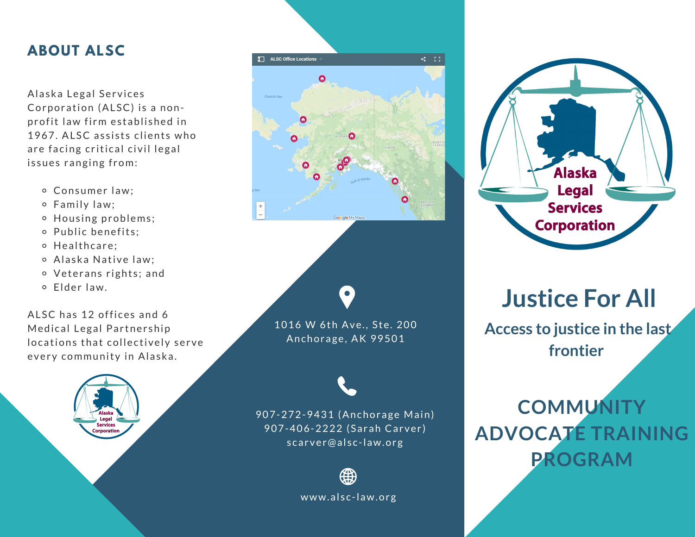#### **ABOUT ALSC**

Alaska Legal Services Corporation (ALSC) is a nonprofit law firm established in 1967. ALSC assists clients who are facing critical civil legal issues ranging from:

- Consumer law;
- Family law;
- $\circ$  Housing problems;
- · Public benefits;
- o Healthcare:
- Alaska Native law;
- o Veterans rights; and
- Elder law.

ALSC has 12 offices and 6 Medical Legal Partnership locations that collectively serve every community in Alaska.



1016 W 6th Ave., Ste. 200 Anchorage, AK 99501

907-272-9431 (Anchorage Main) 907-406-2222 (Sarah Carver ) scarver@alsc-law.org



www.alsc-law.org



# **Justice For All**

**Access to justice in the last frontier**

**COMMUNITY ADVOCATE TRAINING PROGRAM**